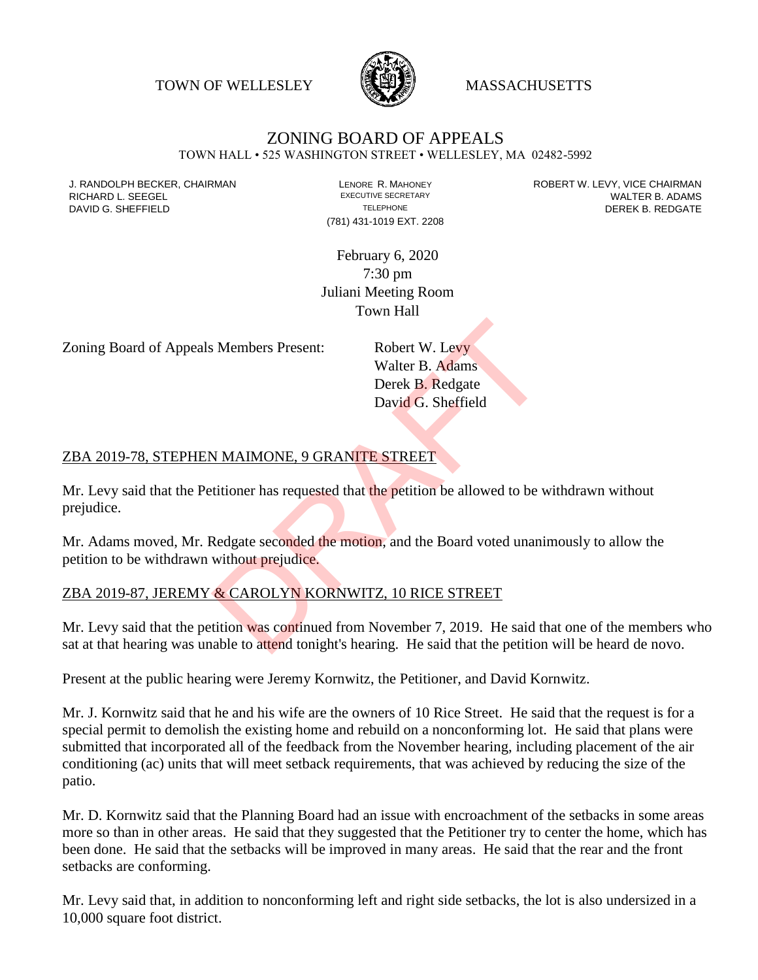TOWN OF WELLESLEY WASSACHUSETTS



# ZONING BOARD OF APPEALS

TOWN HALL • 525 WASHINGTON STREET • WELLESLEY, MA 02482-5992

(781) 431-1019 EXT. 2208

J. RANDOLPH BECKER, CHAIRMAN LAND LENORE R. MAHONEY LENORE RESOLUTIVE SECRETARY LEVY, VICE CHAIRMAN LAND RISPO<br>RICHARD L. SFFGFI LADAMS RICHARD L. SEEGEL **EXECUTIVE SECRETARY CONTROLLY SECRETARY WALTER B. ADAMS** DAVID G. SHEFFIELD **TELEPHONE** TELEPHONE TELEPHONE **TELEPHONE DEREK B. REDGATE** 

> February 6, 2020 7:30 pm Juliani Meeting Room Town Hall

Zoning Board of Appeals Members Present: Robert W. Levy

Walter B. Adams Derek B. Redgate David G. Sheffield

#### ZBA 2019-78, STEPHEN MAIMONE, 9 GRANITE STREET

Mr. Levy said that the Petitioner has requested that the petition be allowed to be withdrawn without prejudice.

Mr. Adams moved, Mr. Redgate seconded the motion, and the Board voted unanimously to allow the petition to be withdrawn without prejudice. S Members Present:<br>
Walter B. Adams<br>
Derek B. Redgate<br>
David G. Sheffield<br>
NAMMONE, 9 GRANITE STREET<br>
Thitioner has requested that the petition be allowed to be we<br>
Redgate seconded the motion, and the Board voted unanial<br>

## ZBA 2019-87, JEREMY & CAROLYN KORNWITZ, 10 RICE STREET

Mr. Levy said that the petition was continued from November 7, 2019. He said that one of the members who sat at that hearing was unable to attend tonight's hearing. He said that the petition will be heard de novo.

Present at the public hearing were Jeremy Kornwitz, the Petitioner, and David Kornwitz.

Mr. J. Kornwitz said that he and his wife are the owners of 10 Rice Street. He said that the request is for a special permit to demolish the existing home and rebuild on a nonconforming lot. He said that plans were submitted that incorporated all of the feedback from the November hearing, including placement of the air conditioning (ac) units that will meet setback requirements, that was achieved by reducing the size of the patio.

Mr. D. Kornwitz said that the Planning Board had an issue with encroachment of the setbacks in some areas more so than in other areas. He said that they suggested that the Petitioner try to center the home, which has been done. He said that the setbacks will be improved in many areas. He said that the rear and the front setbacks are conforming.

Mr. Levy said that, in addition to nonconforming left and right side setbacks, the lot is also undersized in a 10,000 square foot district.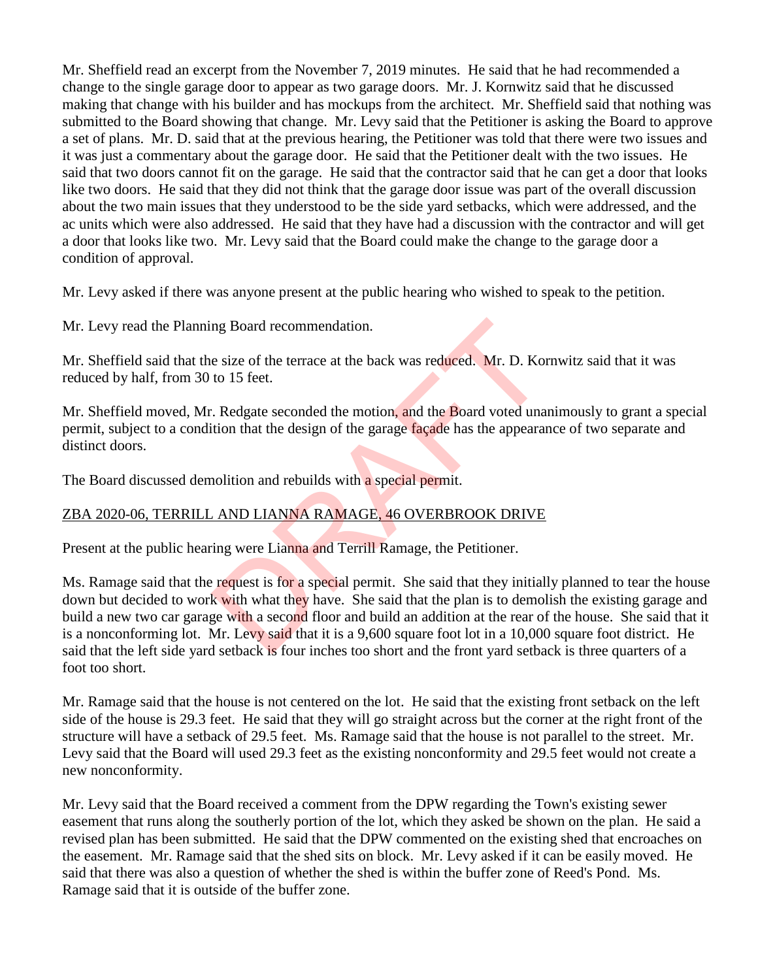Mr. Sheffield read an excerpt from the November 7, 2019 minutes. He said that he had recommended a change to the single garage door to appear as two garage doors. Mr. J. Kornwitz said that he discussed making that change with his builder and has mockups from the architect. Mr. Sheffield said that nothing was submitted to the Board showing that change. Mr. Levy said that the Petitioner is asking the Board to approve a set of plans. Mr. D. said that at the previous hearing, the Petitioner was told that there were two issues and it was just a commentary about the garage door. He said that the Petitioner dealt with the two issues. He said that two doors cannot fit on the garage. He said that the contractor said that he can get a door that looks like two doors. He said that they did not think that the garage door issue was part of the overall discussion about the two main issues that they understood to be the side yard setbacks, which were addressed, and the ac units which were also addressed. He said that they have had a discussion with the contractor and will get a door that looks like two. Mr. Levy said that the Board could make the change to the garage door a condition of approval.

Mr. Levy asked if there was anyone present at the public hearing who wished to speak to the petition.

Mr. Levy read the Planning Board recommendation.

Mr. Sheffield said that the size of the terrace at the back was reduced. Mr. D. Kornwitz said that it was reduced by half, from 30 to 15 feet.

Mr. Sheffield moved, Mr. Redgate seconded the motion, and the Board voted unanimously to grant a special permit, subject to a condition that the design of the garage façade has the appearance of two separate and distinct doors.

The Board discussed demolition and rebuilds with a special permit.

## ZBA 2020-06, TERRILL AND LIANNA RAMAGE, 46 OVERBROOK DRIVE

Present at the public hearing were Lianna and Terrill Ramage, the Petitioner.

Ms. Ramage said that the request is for a special permit. She said that they initially planned to tear the house down but decided to work with what they have. She said that the plan is to demolish the existing garage and build a new two car garage with a second floor and build an addition at the rear of the house. She said that it is a nonconforming lot. Mr. Levy said that it is a 9,600 square foot lot in a 10,000 square foot district. He said that the left side yard setback is four inches too short and the front yard setback is three quarters of a foot too short. ng Board recommendation.<br>
e size of the terrace at the back was reduced. Mr. D. Kor<br>
to 15 feet.<br>
. Redgate seconded the motion, and the Board voted una<br>
tion that the design of the garage façade has the appearan<br>
nolition

Mr. Ramage said that the house is not centered on the lot. He said that the existing front setback on the left side of the house is 29.3 feet. He said that they will go straight across but the corner at the right front of the structure will have a setback of 29.5 feet. Ms. Ramage said that the house is not parallel to the street. Mr. Levy said that the Board will used 29.3 feet as the existing nonconformity and 29.5 feet would not create a new nonconformity.

Mr. Levy said that the Board received a comment from the DPW regarding the Town's existing sewer easement that runs along the southerly portion of the lot, which they asked be shown on the plan. He said a revised plan has been submitted. He said that the DPW commented on the existing shed that encroaches on the easement. Mr. Ramage said that the shed sits on block. Mr. Levy asked if it can be easily moved. He said that there was also a question of whether the shed is within the buffer zone of Reed's Pond. Ms. Ramage said that it is outside of the buffer zone.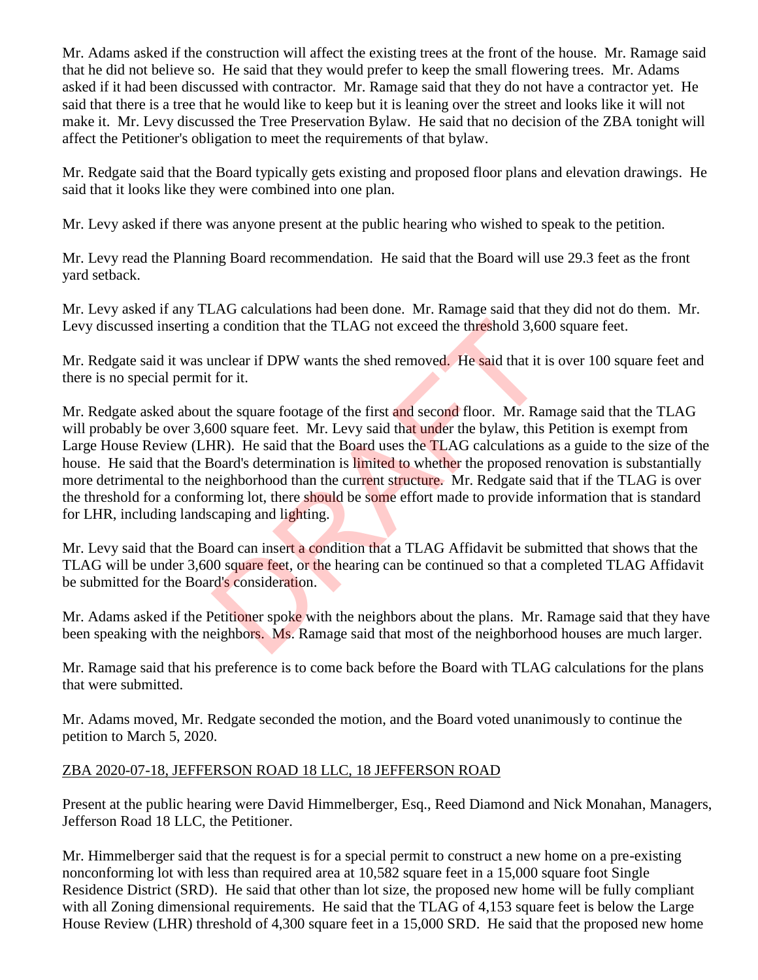Mr. Adams asked if the construction will affect the existing trees at the front of the house. Mr. Ramage said that he did not believe so. He said that they would prefer to keep the small flowering trees. Mr. Adams asked if it had been discussed with contractor. Mr. Ramage said that they do not have a contractor yet. He said that there is a tree that he would like to keep but it is leaning over the street and looks like it will not make it. Mr. Levy discussed the Tree Preservation Bylaw. He said that no decision of the ZBA tonight will affect the Petitioner's obligation to meet the requirements of that bylaw.

Mr. Redgate said that the Board typically gets existing and proposed floor plans and elevation drawings. He said that it looks like they were combined into one plan.

Mr. Levy asked if there was anyone present at the public hearing who wished to speak to the petition.

Mr. Levy read the Planning Board recommendation. He said that the Board will use 29.3 feet as the front yard setback.

Mr. Levy asked if any TLAG calculations had been done. Mr. Ramage said that they did not do them. Mr. Levy discussed inserting a condition that the TLAG not exceed the threshold 3,600 square feet.

Mr. Redgate said it was unclear if DPW wants the shed removed. He said that it is over 100 square feet and there is no special permit for it.

Mr. Redgate asked about the square footage of the first and second floor. Mr. Ramage said that the TLAG will probably be over 3,600 square feet. Mr. Levy said that under the bylaw, this Petition is exempt from Large House Review (LHR). He said that the Board uses the TLAG calculations as a guide to the size of the house. He said that the Board's determination is limited to whether the proposed renovation is substantially more detrimental to the neighborhood than the current structure. Mr. Redgate said that if the TLAG is over the threshold for a conforming lot, there should be some effort made to provide information that is standard for LHR, including landscaping and lighting. a condition that the TLAG not exceed the threshold 3,60<br>unclear if DPW wants the shed removed. He said that it i<br>for it.<br>the square footage of the first and second floor. Mr. Ran<br>00 square feet. Mr. Levy said that under th

Mr. Levy said that the Board can insert a condition that a TLAG Affidavit be submitted that shows that the TLAG will be under 3,600 square feet, or the hearing can be continued so that a completed TLAG Affidavit be submitted for the Board's consideration.

Mr. Adams asked if the Petitioner spoke with the neighbors about the plans. Mr. Ramage said that they have been speaking with the neighbors. Ms. Ramage said that most of the neighborhood houses are much larger.

Mr. Ramage said that his preference is to come back before the Board with TLAG calculations for the plans that were submitted.

Mr. Adams moved, Mr. Redgate seconded the motion, and the Board voted unanimously to continue the petition to March 5, 2020.

## ZBA 2020-07-18, JEFFERSON ROAD 18 LLC, 18 JEFFERSON ROAD

Present at the public hearing were David Himmelberger, Esq., Reed Diamond and Nick Monahan, Managers, Jefferson Road 18 LLC, the Petitioner.

Mr. Himmelberger said that the request is for a special permit to construct a new home on a pre-existing nonconforming lot with less than required area at 10,582 square feet in a 15,000 square foot Single Residence District (SRD). He said that other than lot size, the proposed new home will be fully compliant with all Zoning dimensional requirements. He said that the TLAG of 4,153 square feet is below the Large House Review (LHR) threshold of 4,300 square feet in a 15,000 SRD. He said that the proposed new home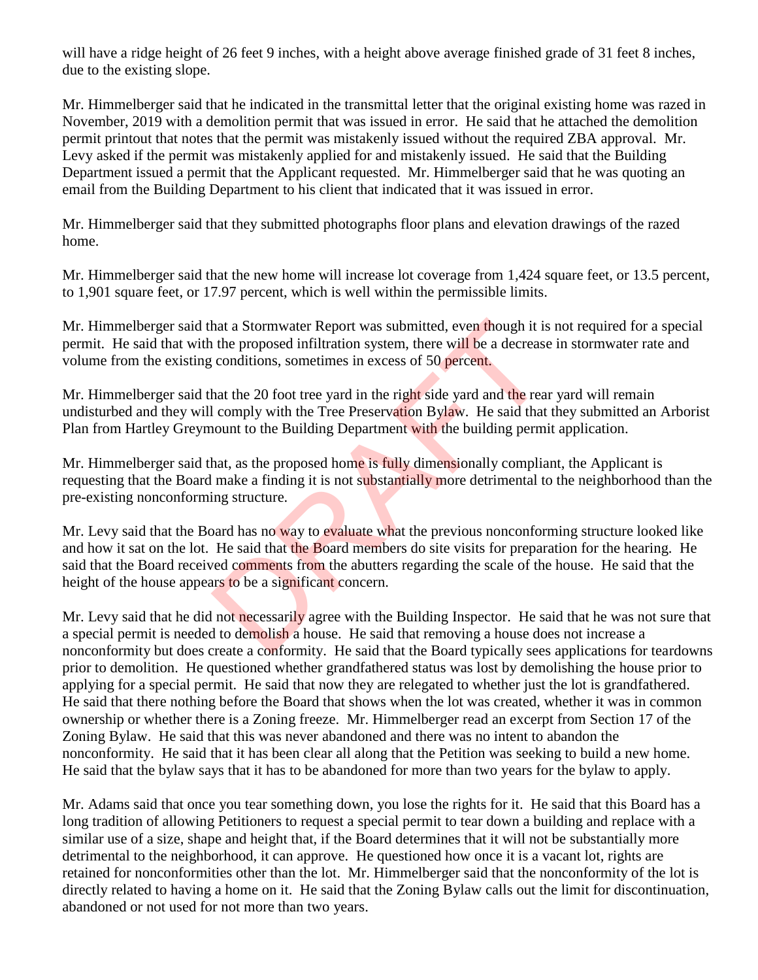will have a ridge height of 26 feet 9 inches, with a height above average finished grade of 31 feet 8 inches, due to the existing slope.

Mr. Himmelberger said that he indicated in the transmittal letter that the original existing home was razed in November, 2019 with a demolition permit that was issued in error. He said that he attached the demolition permit printout that notes that the permit was mistakenly issued without the required ZBA approval. Mr. Levy asked if the permit was mistakenly applied for and mistakenly issued. He said that the Building Department issued a permit that the Applicant requested. Mr. Himmelberger said that he was quoting an email from the Building Department to his client that indicated that it was issued in error.

Mr. Himmelberger said that they submitted photographs floor plans and elevation drawings of the razed home.

Mr. Himmelberger said that the new home will increase lot coverage from 1,424 square feet, or 13.5 percent, to 1,901 square feet, or 17.97 percent, which is well within the permissible limits.

Mr. Himmelberger said that a Stormwater Report was submitted, even though it is not required for a special permit. He said that with the proposed infiltration system, there will be a decrease in stormwater rate and volume from the existing conditions, sometimes in excess of 50 percent.

Mr. Himmelberger said that the 20 foot tree yard in the right side yard and the rear yard will remain undisturbed and they will comply with the Tree Preservation Bylaw. He said that they submitted an Arborist Plan from Hartley Greymount to the Building Department with the building permit application.

Mr. Himmelberger said that, as the proposed home is fully dimensionally compliant, the Applicant is requesting that the Board make a finding it is not substantially more detrimental to the neighborhood than the pre-existing nonconforming structure.

Mr. Levy said that the Board has no way to evaluate what the previous nonconforming structure looked like and how it sat on the lot. He said that the Board members do site visits for preparation for the hearing. He said that the Board received comments from the abutters regarding the scale of the house. He said that the height of the house appears to be a significant concern. hat a Stormwater Report was submitted, even though it is<br>the proposed infiltration system, there will be a decrease<br>conditions, sometimes in excess of 50 percent.<br>hat the 20 foot tree yard in the right side yard and the re

Mr. Levy said that he did not necessarily agree with the Building Inspector. He said that he was not sure that a special permit is needed to demolish a house. He said that removing a house does not increase a nonconformity but does create a conformity. He said that the Board typically sees applications for teardowns prior to demolition. He questioned whether grandfathered status was lost by demolishing the house prior to applying for a special permit. He said that now they are relegated to whether just the lot is grandfathered. He said that there nothing before the Board that shows when the lot was created, whether it was in common ownership or whether there is a Zoning freeze. Mr. Himmelberger read an excerpt from Section 17 of the Zoning Bylaw. He said that this was never abandoned and there was no intent to abandon the nonconformity. He said that it has been clear all along that the Petition was seeking to build a new home. He said that the bylaw says that it has to be abandoned for more than two years for the bylaw to apply.

Mr. Adams said that once you tear something down, you lose the rights for it. He said that this Board has a long tradition of allowing Petitioners to request a special permit to tear down a building and replace with a similar use of a size, shape and height that, if the Board determines that it will not be substantially more detrimental to the neighborhood, it can approve. He questioned how once it is a vacant lot, rights are retained for nonconformities other than the lot. Mr. Himmelberger said that the nonconformity of the lot is directly related to having a home on it. He said that the Zoning Bylaw calls out the limit for discontinuation, abandoned or not used for not more than two years.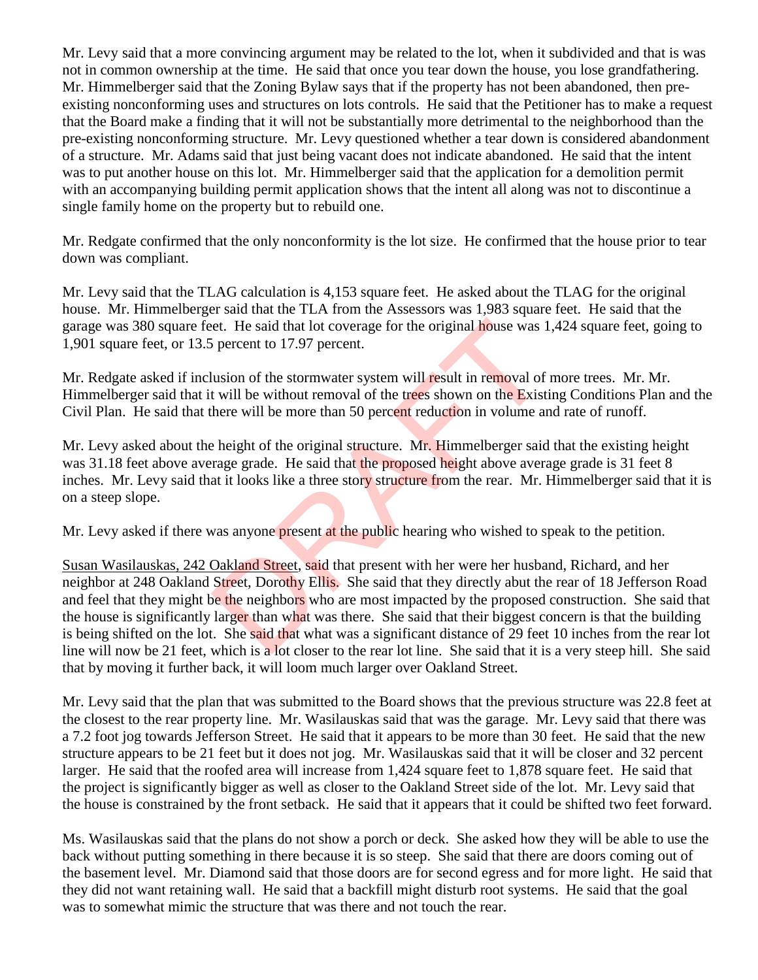Mr. Levy said that a more convincing argument may be related to the lot, when it subdivided and that is was not in common ownership at the time. He said that once you tear down the house, you lose grandfathering. Mr. Himmelberger said that the Zoning Bylaw says that if the property has not been abandoned, then preexisting nonconforming uses and structures on lots controls. He said that the Petitioner has to make a request that the Board make a finding that it will not be substantially more detrimental to the neighborhood than the pre-existing nonconforming structure. Mr. Levy questioned whether a tear down is considered abandonment of a structure. Mr. Adams said that just being vacant does not indicate abandoned. He said that the intent was to put another house on this lot. Mr. Himmelberger said that the application for a demolition permit with an accompanying building permit application shows that the intent all along was not to discontinue a single family home on the property but to rebuild one.

Mr. Redgate confirmed that the only nonconformity is the lot size. He confirmed that the house prior to tear down was compliant.

Mr. Levy said that the TLAG calculation is 4,153 square feet. He asked about the TLAG for the original house. Mr. Himmelberger said that the TLA from the Assessors was 1,983 square feet. He said that the garage was 380 square feet. He said that lot coverage for the original house was 1,424 square feet, going to 1,901 square feet, or 13.5 percent to 17.97 percent.

Mr. Redgate asked if inclusion of the stormwater system will result in removal of more trees. Mr. Mr. Himmelberger said that it will be without removal of the trees shown on the Existing Conditions Plan and the Civil Plan. He said that there will be more than 50 percent reduction in volume and rate of runoff.

Mr. Levy asked about the height of the original structure. Mr. Himmelberger said that the existing height was 31.18 feet above average grade. He said that the proposed height above average grade is 31 feet 8 inches. Mr. Levy said that it looks like a three story structure from the rear. Mr. Himmelberger said that it is on a steep slope.

Mr. Levy asked if there was anyone present at the public hearing who wished to speak to the petition.

Susan Wasilauskas, 242 Oakland Street, said that present with her were her husband, Richard, and her neighbor at 248 Oakland Street, Dorothy Ellis. She said that they directly abut the rear of 18 Jefferson Road and feel that they might be the neighbors who are most impacted by the proposed construction. She said that the house is significantly larger than what was there. She said that their biggest concern is that the building is being shifted on the lot. She said that what was a significant distance of 29 feet 10 inches from the rear lot line will now be 21 feet, which is a lot closer to the rear lot line. She said that it is a very steep hill. She said that by moving it further back, it will loom much larger over Oakland Street. et. He said that lot coverage for the original house was 1<br>
is percent to 17.97 percent.<br>
is percent to 17.97 percent.<br>
lusion of the stormwater system will result in removal of<br>
t will be without removal of the trees show

Mr. Levy said that the plan that was submitted to the Board shows that the previous structure was 22.8 feet at the closest to the rear property line. Mr. Wasilauskas said that was the garage. Mr. Levy said that there was a 7.2 foot jog towards Jefferson Street. He said that it appears to be more than 30 feet. He said that the new structure appears to be 21 feet but it does not jog. Mr. Wasilauskas said that it will be closer and 32 percent larger. He said that the roofed area will increase from 1,424 square feet to 1,878 square feet. He said that the project is significantly bigger as well as closer to the Oakland Street side of the lot. Mr. Levy said that the house is constrained by the front setback. He said that it appears that it could be shifted two feet forward.

Ms. Wasilauskas said that the plans do not show a porch or deck. She asked how they will be able to use the back without putting something in there because it is so steep. She said that there are doors coming out of the basement level. Mr. Diamond said that those doors are for second egress and for more light. He said that they did not want retaining wall. He said that a backfill might disturb root systems. He said that the goal was to somewhat mimic the structure that was there and not touch the rear.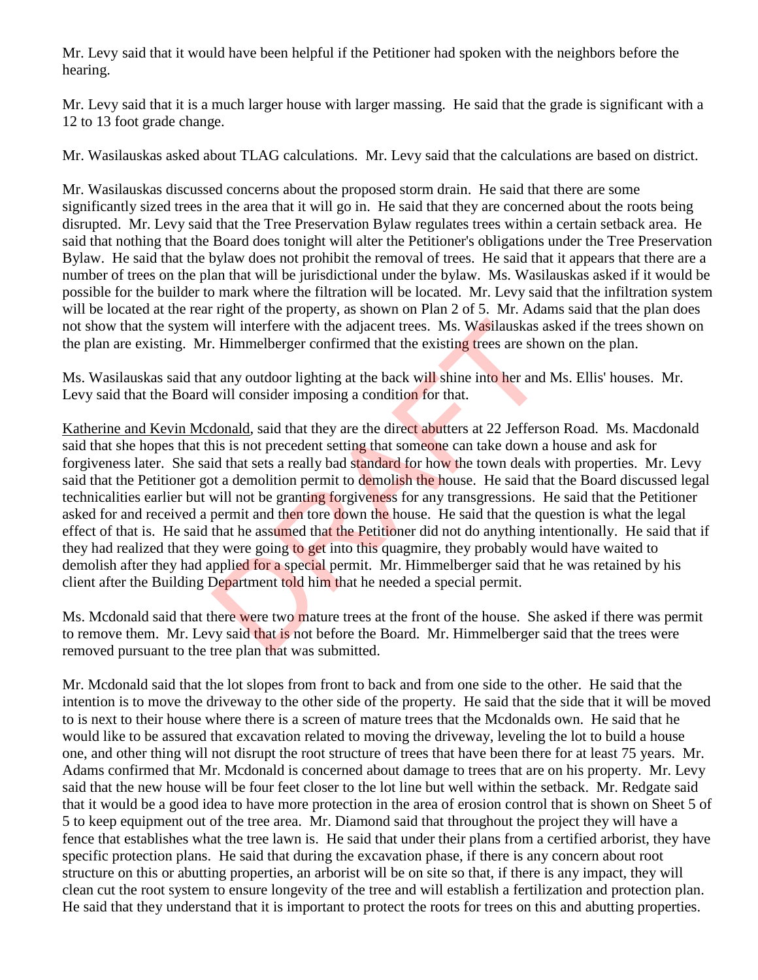Mr. Levy said that it would have been helpful if the Petitioner had spoken with the neighbors before the hearing.

Mr. Levy said that it is a much larger house with larger massing. He said that the grade is significant with a 12 to 13 foot grade change.

Mr. Wasilauskas asked about TLAG calculations. Mr. Levy said that the calculations are based on district.

Mr. Wasilauskas discussed concerns about the proposed storm drain. He said that there are some significantly sized trees in the area that it will go in. He said that they are concerned about the roots being disrupted. Mr. Levy said that the Tree Preservation Bylaw regulates trees within a certain setback area. He said that nothing that the Board does tonight will alter the Petitioner's obligations under the Tree Preservation Bylaw. He said that the bylaw does not prohibit the removal of trees. He said that it appears that there are a number of trees on the plan that will be jurisdictional under the bylaw. Ms. Wasilauskas asked if it would be possible for the builder to mark where the filtration will be located. Mr. Levy said that the infiltration system will be located at the rear right of the property, as shown on Plan 2 of 5. Mr. Adams said that the plan does not show that the system will interfere with the adjacent trees. Ms. Wasilauskas asked if the trees shown on the plan are existing. Mr. Himmelberger confirmed that the existing trees are shown on the plan.

Ms. Wasilauskas said that any outdoor lighting at the back will shine into her and Ms. Ellis' houses. Mr. Levy said that the Board will consider imposing a condition for that.

Katherine and Kevin Mcdonald, said that they are the direct abutters at 22 Jefferson Road. Ms. Macdonald said that she hopes that this is not precedent setting that someone can take down a house and ask for forgiveness later. She said that sets a really bad standard for how the town deals with properties. Mr. Levy said that the Petitioner got a demolition permit to demolish the house. He said that the Board discussed legal technicalities earlier but will not be granting forgiveness for any transgressions. He said that the Petitioner asked for and received a permit and then tore down the house. He said that the question is what the legal effect of that is. He said that he assumed that the Petitioner did not do anything intentionally. He said that if they had realized that they were going to get into this quagmire, they probably would have waited to demolish after they had applied for a special permit. Mr. Himmelberger said that he was retained by his client after the Building Department told him that he needed a special permit. will interfere with the adjacent trees. Ms. Wasilauskas a<br>
. Himmelberger confirmed that the existing trees are show<br>
at any outdoor lighting at the back will shine into her and<br>
will consider imposing a condition for that

Ms. Mcdonald said that there were two mature trees at the front of the house. She asked if there was permit to remove them. Mr. Levy said that is not before the Board. Mr. Himmelberger said that the trees were removed pursuant to the tree plan that was submitted.

Mr. Mcdonald said that the lot slopes from front to back and from one side to the other. He said that the intention is to move the driveway to the other side of the property. He said that the side that it will be moved to is next to their house where there is a screen of mature trees that the Mcdonalds own. He said that he would like to be assured that excavation related to moving the driveway, leveling the lot to build a house one, and other thing will not disrupt the root structure of trees that have been there for at least 75 years. Mr. Adams confirmed that Mr. Mcdonald is concerned about damage to trees that are on his property. Mr. Levy said that the new house will be four feet closer to the lot line but well within the setback. Mr. Redgate said that it would be a good idea to have more protection in the area of erosion control that is shown on Sheet 5 of 5 to keep equipment out of the tree area. Mr. Diamond said that throughout the project they will have a fence that establishes what the tree lawn is. He said that under their plans from a certified arborist, they have specific protection plans. He said that during the excavation phase, if there is any concern about root structure on this or abutting properties, an arborist will be on site so that, if there is any impact, they will clean cut the root system to ensure longevity of the tree and will establish a fertilization and protection plan. He said that they understand that it is important to protect the roots for trees on this and abutting properties.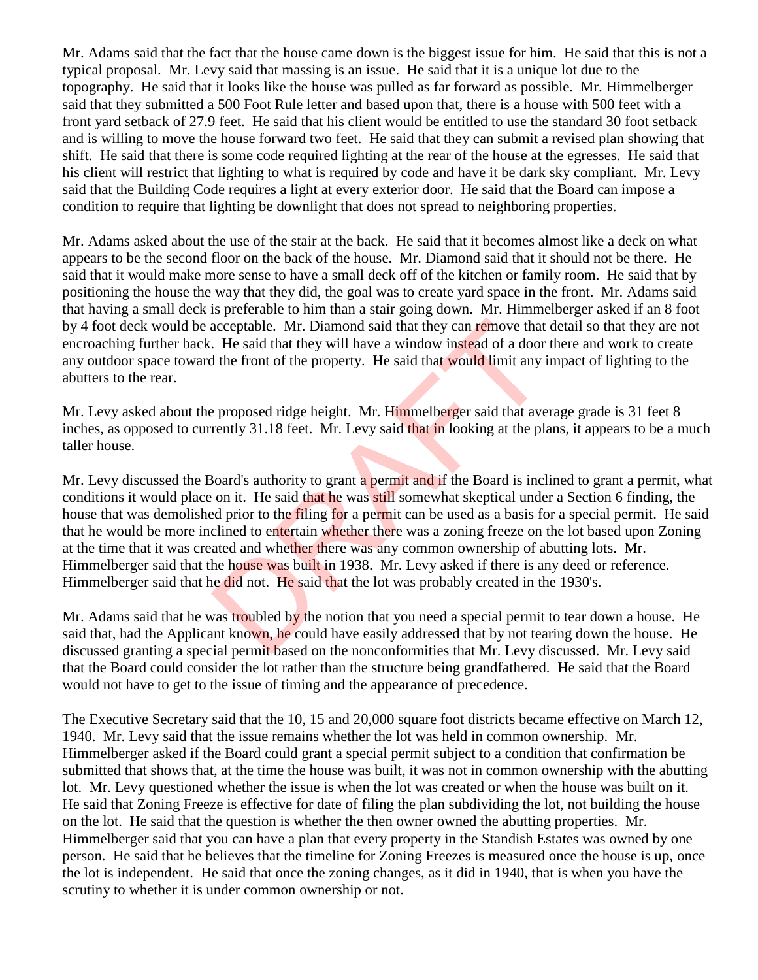Mr. Adams said that the fact that the house came down is the biggest issue for him. He said that this is not a typical proposal. Mr. Levy said that massing is an issue. He said that it is a unique lot due to the topography. He said that it looks like the house was pulled as far forward as possible. Mr. Himmelberger said that they submitted a 500 Foot Rule letter and based upon that, there is a house with 500 feet with a front yard setback of 27.9 feet. He said that his client would be entitled to use the standard 30 foot setback and is willing to move the house forward two feet. He said that they can submit a revised plan showing that shift. He said that there is some code required lighting at the rear of the house at the egresses. He said that his client will restrict that lighting to what is required by code and have it be dark sky compliant. Mr. Levy said that the Building Code requires a light at every exterior door. He said that the Board can impose a condition to require that lighting be downlight that does not spread to neighboring properties.

Mr. Adams asked about the use of the stair at the back. He said that it becomes almost like a deck on what appears to be the second floor on the back of the house. Mr. Diamond said that it should not be there. He said that it would make more sense to have a small deck off of the kitchen or family room. He said that by positioning the house the way that they did, the goal was to create yard space in the front. Mr. Adams said that having a small deck is preferable to him than a stair going down. Mr. Himmelberger asked if an 8 foot by 4 foot deck would be acceptable. Mr. Diamond said that they can remove that detail so that they are not encroaching further back. He said that they will have a window instead of a door there and work to create any outdoor space toward the front of the property. He said that would limit any impact of lighting to the abutters to the rear.

Mr. Levy asked about the proposed ridge height. Mr. Himmelberger said that average grade is 31 feet 8 inches, as opposed to currently 31.18 feet. Mr. Levy said that in looking at the plans, it appears to be a much taller house.

Mr. Levy discussed the Board's authority to grant a permit and if the Board is inclined to grant a permit, what conditions it would place on it. He said that he was still somewhat skeptical under a Section 6 finding, the house that was demolished prior to the filing for a permit can be used as a basis for a special permit. He said that he would be more inclined to entertain whether there was a zoning freeze on the lot based upon Zoning at the time that it was created and whether there was any common ownership of abutting lots. Mr. Himmelberger said that the house was built in 1938. Mr. Levy asked if there is any deed or reference. Himmelberger said that he did not. He said that the lot was probably created in the 1930's. acceptable. Mr. Diamond said that they can remove that<br>
I He said that they will have a window instead of a door<br>
I the front of the property. He said that would limit any i<br>
perpoposed ridge height. Mr. Himmelberger said

Mr. Adams said that he was troubled by the notion that you need a special permit to tear down a house. He said that, had the Applicant known, he could have easily addressed that by not tearing down the house. He discussed granting a special permit based on the nonconformities that Mr. Levy discussed. Mr. Levy said that the Board could consider the lot rather than the structure being grandfathered. He said that the Board would not have to get to the issue of timing and the appearance of precedence.

The Executive Secretary said that the 10, 15 and 20,000 square foot districts became effective on March 12, 1940. Mr. Levy said that the issue remains whether the lot was held in common ownership. Mr. Himmelberger asked if the Board could grant a special permit subject to a condition that confirmation be submitted that shows that, at the time the house was built, it was not in common ownership with the abutting lot. Mr. Levy questioned whether the issue is when the lot was created or when the house was built on it. He said that Zoning Freeze is effective for date of filing the plan subdividing the lot, not building the house on the lot. He said that the question is whether the then owner owned the abutting properties. Mr. Himmelberger said that you can have a plan that every property in the Standish Estates was owned by one person. He said that he believes that the timeline for Zoning Freezes is measured once the house is up, once the lot is independent. He said that once the zoning changes, as it did in 1940, that is when you have the scrutiny to whether it is under common ownership or not.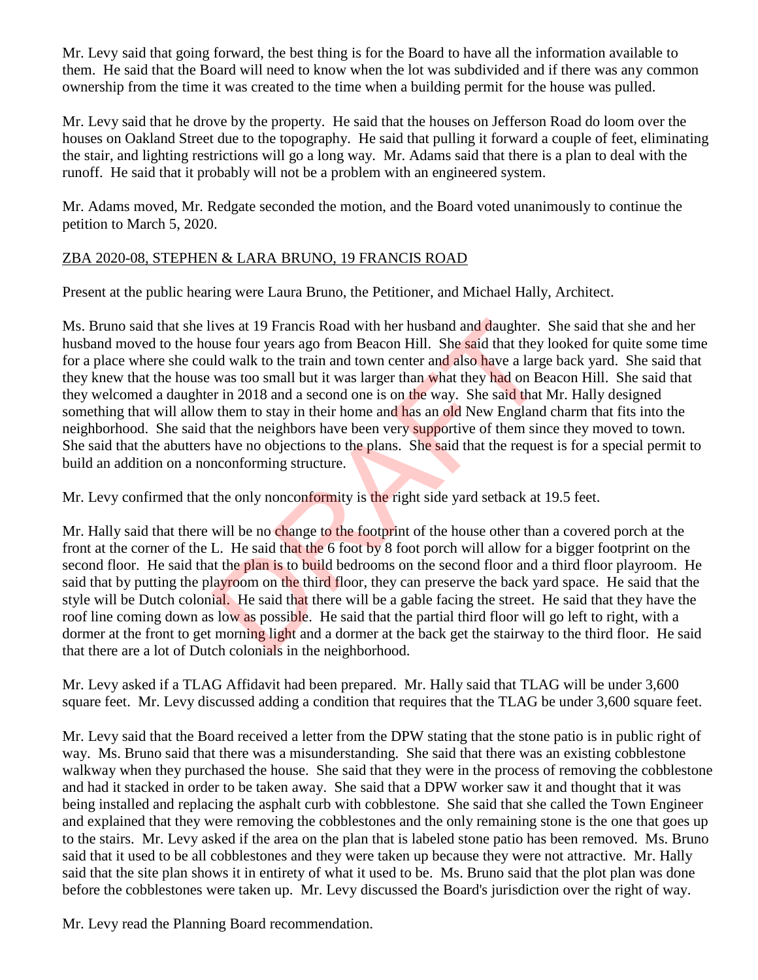Mr. Levy said that going forward, the best thing is for the Board to have all the information available to them. He said that the Board will need to know when the lot was subdivided and if there was any common ownership from the time it was created to the time when a building permit for the house was pulled.

Mr. Levy said that he drove by the property. He said that the houses on Jefferson Road do loom over the houses on Oakland Street due to the topography. He said that pulling it forward a couple of feet, eliminating the stair, and lighting restrictions will go a long way. Mr. Adams said that there is a plan to deal with the runoff. He said that it probably will not be a problem with an engineered system.

Mr. Adams moved, Mr. Redgate seconded the motion, and the Board voted unanimously to continue the petition to March 5, 2020.

## ZBA 2020-08, STEPHEN & LARA BRUNO, 19 FRANCIS ROAD

Present at the public hearing were Laura Bruno, the Petitioner, and Michael Hally, Architect.

Ms. Bruno said that she lives at 19 Francis Road with her husband and daughter. She said that she and her husband moved to the house four years ago from Beacon Hill. She said that they looked for quite some time for a place where she could walk to the train and town center and also have a large back yard. She said that they knew that the house was too small but it was larger than what they had on Beacon Hill. She said that they welcomed a daughter in 2018 and a second one is on the way. She said that Mr. Hally designed something that will allow them to stay in their home and has an old New England charm that fits into the neighborhood. She said that the neighbors have been very supportive of them since they moved to town. She said that the abutters have no objections to the plans. She said that the request is for a special permit to build an addition on a nonconforming structure. ives at 19 Francis Road with her husband and daughter.<br>
use four years ago from Beacon Hill. She said that they<br>
lid walk to the train and town center and also have a large<br>
was too small but it was larger than what they h

Mr. Levy confirmed that the only nonconformity is the right side yard setback at 19.5 feet.

Mr. Hally said that there will be no change to the footprint of the house other than a covered porch at the front at the corner of the L. He said that the 6 foot by 8 foot porch will allow for a bigger footprint on the second floor. He said that the plan is to build bedrooms on the second floor and a third floor playroom. He said that by putting the playroom on the third floor, they can preserve the back yard space. He said that the style will be Dutch colonial. He said that there will be a gable facing the street. He said that they have the roof line coming down as low as possible. He said that the partial third floor will go left to right, with a dormer at the front to get morning light and a dormer at the back get the stairway to the third floor. He said that there are a lot of Dutch colonials in the neighborhood.

Mr. Levy asked if a TLAG Affidavit had been prepared. Mr. Hally said that TLAG will be under 3,600 square feet. Mr. Levy discussed adding a condition that requires that the TLAG be under 3,600 square feet.

Mr. Levy said that the Board received a letter from the DPW stating that the stone patio is in public right of way. Ms. Bruno said that there was a misunderstanding. She said that there was an existing cobblestone walkway when they purchased the house. She said that they were in the process of removing the cobblestone and had it stacked in order to be taken away. She said that a DPW worker saw it and thought that it was being installed and replacing the asphalt curb with cobblestone. She said that she called the Town Engineer and explained that they were removing the cobblestones and the only remaining stone is the one that goes up to the stairs. Mr. Levy asked if the area on the plan that is labeled stone patio has been removed. Ms. Bruno said that it used to be all cobblestones and they were taken up because they were not attractive. Mr. Hally said that the site plan shows it in entirety of what it used to be. Ms. Bruno said that the plot plan was done before the cobblestones were taken up. Mr. Levy discussed the Board's jurisdiction over the right of way.

Mr. Levy read the Planning Board recommendation.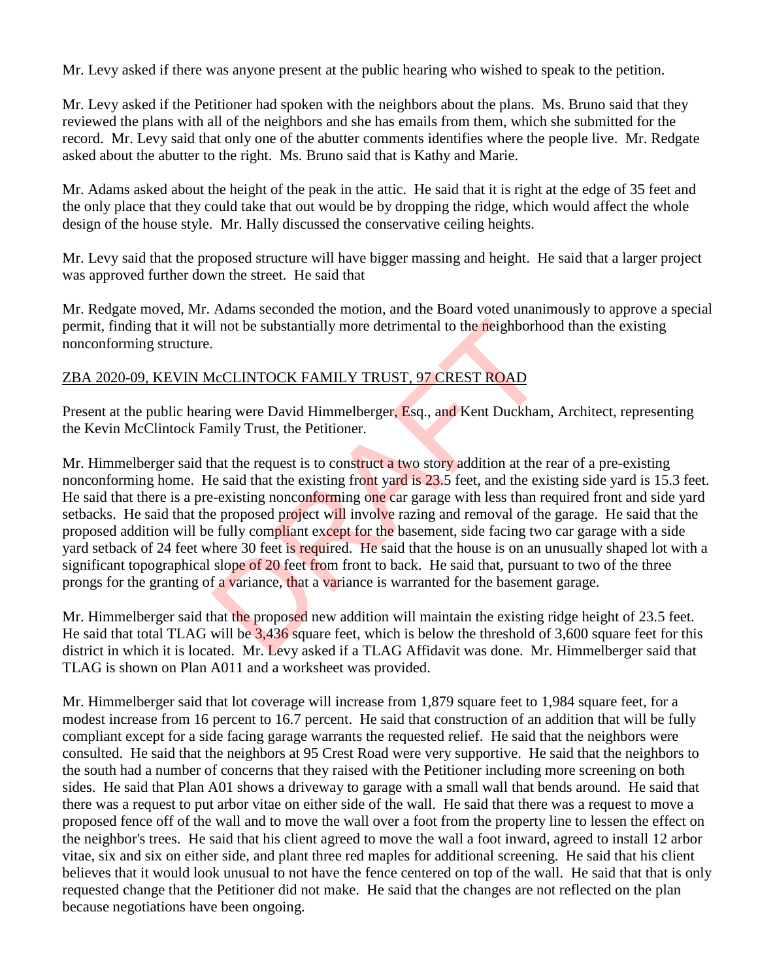Mr. Levy asked if there was anyone present at the public hearing who wished to speak to the petition.

Mr. Levy asked if the Petitioner had spoken with the neighbors about the plans. Ms. Bruno said that they reviewed the plans with all of the neighbors and she has emails from them, which she submitted for the record. Mr. Levy said that only one of the abutter comments identifies where the people live. Mr. Redgate asked about the abutter to the right. Ms. Bruno said that is Kathy and Marie.

Mr. Adams asked about the height of the peak in the attic. He said that it is right at the edge of 35 feet and the only place that they could take that out would be by dropping the ridge, which would affect the whole design of the house style. Mr. Hally discussed the conservative ceiling heights.

Mr. Levy said that the proposed structure will have bigger massing and height. He said that a larger project was approved further down the street. He said that

Mr. Redgate moved, Mr. Adams seconded the motion, and the Board voted unanimously to approve a special permit, finding that it will not be substantially more detrimental to the neighborhood than the existing nonconforming structure.

## ZBA 2020-09, KEVIN McCLINTOCK FAMILY TRUST, 97 CREST ROAD

Present at the public hearing were David Himmelberger, Esq., and Kent Duckham, Architect, representing the Kevin McClintock Family Trust, the Petitioner.

Mr. Himmelberger said that the request is to construct a two story addition at the rear of a pre-existing nonconforming home. He said that the existing front yard is 23.5 feet, and the existing side yard is 15.3 feet. He said that there is a pre-existing nonconforming one car garage with less than required front and side yard setbacks. He said that the proposed project will involve razing and removal of the garage. He said that the proposed addition will be fully compliant except for the basement, side facing two car garage with a side yard setback of 24 feet where 30 feet is required. He said that the house is on an unusually shaped lot with a significant topographical slope of 20 feet from front to back. He said that, pursuant to two of the three prongs for the granting of a variance, that a variance is warranted for the basement garage. I not be substantially more detrimental to the neighborhot<br>
AcCLINTOCK FAMILY TRUST, 97 CREST ROAD<br>
ing were David Himmelberger, Esq., and Kent Duckham<br>
mily Trust, the Petitioner.<br>
hat the request is to construct a two st

Mr. Himmelberger said that the proposed new addition will maintain the existing ridge height of 23.5 feet. He said that total TLAG will be 3,436 square feet, which is below the threshold of 3,600 square feet for this district in which it is located. Mr. Levy asked if a TLAG Affidavit was done. Mr. Himmelberger said that TLAG is shown on Plan A011 and a worksheet was provided.

Mr. Himmelberger said that lot coverage will increase from 1,879 square feet to 1,984 square feet, for a modest increase from 16 percent to 16.7 percent. He said that construction of an addition that will be fully compliant except for a side facing garage warrants the requested relief. He said that the neighbors were consulted. He said that the neighbors at 95 Crest Road were very supportive. He said that the neighbors to the south had a number of concerns that they raised with the Petitioner including more screening on both sides. He said that Plan A01 shows a driveway to garage with a small wall that bends around. He said that there was a request to put arbor vitae on either side of the wall. He said that there was a request to move a proposed fence off of the wall and to move the wall over a foot from the property line to lessen the effect on the neighbor's trees. He said that his client agreed to move the wall a foot inward, agreed to install 12 arbor vitae, six and six on either side, and plant three red maples for additional screening. He said that his client believes that it would look unusual to not have the fence centered on top of the wall. He said that that is only requested change that the Petitioner did not make. He said that the changes are not reflected on the plan because negotiations have been ongoing.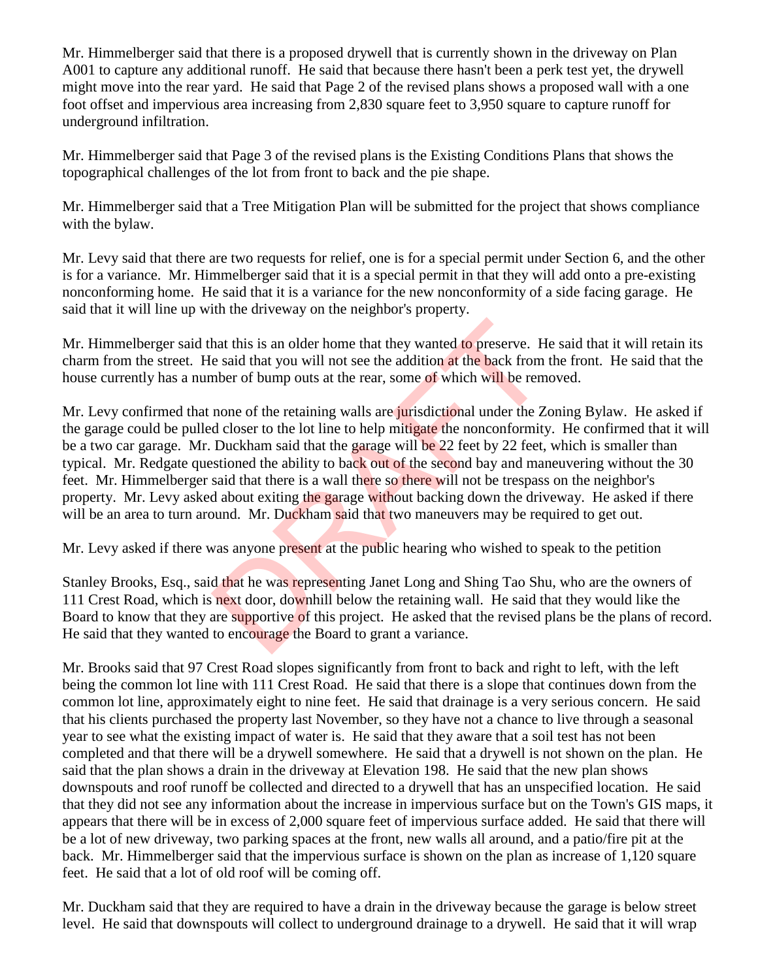Mr. Himmelberger said that there is a proposed drywell that is currently shown in the driveway on Plan A001 to capture any additional runoff. He said that because there hasn't been a perk test yet, the drywell might move into the rear yard. He said that Page 2 of the revised plans shows a proposed wall with a one foot offset and impervious area increasing from 2,830 square feet to 3,950 square to capture runoff for underground infiltration.

Mr. Himmelberger said that Page 3 of the revised plans is the Existing Conditions Plans that shows the topographical challenges of the lot from front to back and the pie shape.

Mr. Himmelberger said that a Tree Mitigation Plan will be submitted for the project that shows compliance with the bylaw.

Mr. Levy said that there are two requests for relief, one is for a special permit under Section 6, and the other is for a variance. Mr. Himmelberger said that it is a special permit in that they will add onto a pre-existing nonconforming home. He said that it is a variance for the new nonconformity of a side facing garage. He said that it will line up with the driveway on the neighbor's property.

Mr. Himmelberger said that this is an older home that they wanted to preserve. He said that it will retain its charm from the street. He said that you will not see the addition at the back from the front. He said that the house currently has a number of bump outs at the rear, some of which will be removed.

Mr. Levy confirmed that none of the retaining walls are jurisdictional under the Zoning Bylaw. He asked if the garage could be pulled closer to the lot line to help mitigate the nonconformity. He confirmed that it will be a two car garage. Mr. Duckham said that the garage will be 22 feet by 22 feet, which is smaller than typical. Mr. Redgate questioned the ability to back out of the second bay and maneuvering without the 30 feet. Mr. Himmelberger said that there is a wall there so there will not be trespass on the neighbor's property. Mr. Levy asked about exiting the garage without backing down the driveway. He asked if there will be an area to turn around. Mr. Duckham said that two maneuvers may be required to get out. hat this is an older home that they wanted to preserve. He said that you will not see the addition at the back from mber of bump outs at the rear, some of which will be rem none of the retaining walls are jurisdictional un

Mr. Levy asked if there was anyone present at the public hearing who wished to speak to the petition

Stanley Brooks, Esq., said that he was representing Janet Long and Shing Tao Shu, who are the owners of 111 Crest Road, which is next door, downhill below the retaining wall. He said that they would like the Board to know that they are supportive of this project. He asked that the revised plans be the plans of record. He said that they wanted to encourage the Board to grant a variance.

Mr. Brooks said that 97 Crest Road slopes significantly from front to back and right to left, with the left being the common lot line with 111 Crest Road. He said that there is a slope that continues down from the common lot line, approximately eight to nine feet. He said that drainage is a very serious concern. He said that his clients purchased the property last November, so they have not a chance to live through a seasonal year to see what the existing impact of water is. He said that they aware that a soil test has not been completed and that there will be a drywell somewhere. He said that a drywell is not shown on the plan. He said that the plan shows a drain in the driveway at Elevation 198. He said that the new plan shows downspouts and roof runoff be collected and directed to a drywell that has an unspecified location. He said that they did not see any information about the increase in impervious surface but on the Town's GIS maps, it appears that there will be in excess of 2,000 square feet of impervious surface added. He said that there will be a lot of new driveway, two parking spaces at the front, new walls all around, and a patio/fire pit at the back. Mr. Himmelberger said that the impervious surface is shown on the plan as increase of 1,120 square feet. He said that a lot of old roof will be coming off.

Mr. Duckham said that they are required to have a drain in the driveway because the garage is below street level. He said that downspouts will collect to underground drainage to a drywell. He said that it will wrap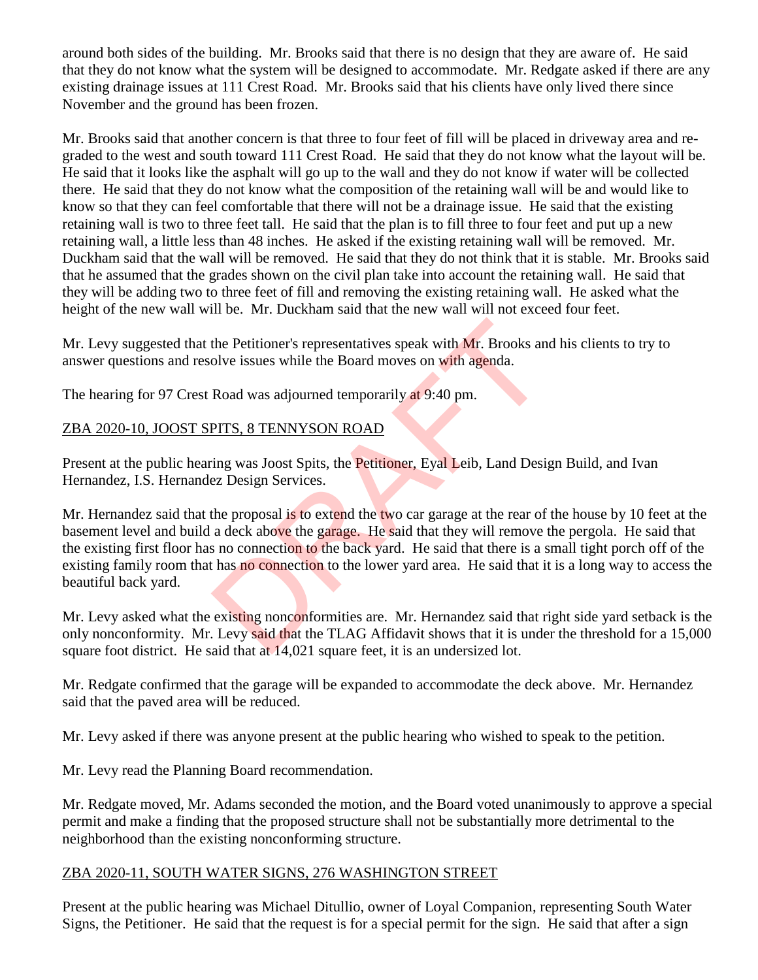around both sides of the building. Mr. Brooks said that there is no design that they are aware of. He said that they do not know what the system will be designed to accommodate. Mr. Redgate asked if there are any existing drainage issues at 111 Crest Road. Mr. Brooks said that his clients have only lived there since November and the ground has been frozen.

Mr. Brooks said that another concern is that three to four feet of fill will be placed in driveway area and regraded to the west and south toward 111 Crest Road. He said that they do not know what the layout will be. He said that it looks like the asphalt will go up to the wall and they do not know if water will be collected there. He said that they do not know what the composition of the retaining wall will be and would like to know so that they can feel comfortable that there will not be a drainage issue. He said that the existing retaining wall is two to three feet tall. He said that the plan is to fill three to four feet and put up a new retaining wall, a little less than 48 inches. He asked if the existing retaining wall will be removed. Mr. Duckham said that the wall will be removed. He said that they do not think that it is stable. Mr. Brooks said that he assumed that the grades shown on the civil plan take into account the retaining wall. He said that they will be adding two to three feet of fill and removing the existing retaining wall. He asked what the height of the new wall will be. Mr. Duckham said that the new wall will not exceed four feet.

Mr. Levy suggested that the Petitioner's representatives speak with Mr. Brooks and his clients to try to answer questions and resolve issues while the Board moves on with agenda.

The hearing for 97 Crest Road was adjourned temporarily at 9:40 pm.

## ZBA 2020-10, JOOST SPITS, 8 TENNYSON ROAD

Present at the public hearing was Joost Spits, the Petitioner, Eyal Leib, Land Design Build, and Ivan Hernandez, I.S. Hernandez Design Services.

Mr. Hernandez said that the proposal is to extend the two car garage at the rear of the house by 10 feet at the basement level and build a deck above the garage. He said that they will remove the pergola. He said that the existing first floor has no connection to the back yard. He said that there is a small tight porch off of the existing family room that has no connection to the lower yard area. He said that it is a long way to access the beautiful back yard. the Petitioner's representatives speak with Mr. Brooks and<br>olve issues while the Board moves on with agenda.<br>
Road was adjourned temporarily at 9:40 pm.<br>
PITS, 8 TENNYSON ROAD<br>
ing was Joost Spits, the Petitioner, Eyal Lei

Mr. Levy asked what the existing nonconformities are. Mr. Hernandez said that right side yard setback is the only nonconformity. Mr. Levy said that the TLAG Affidavit shows that it is under the threshold for a 15,000 square foot district. He said that at 14,021 square feet, it is an undersized lot.

Mr. Redgate confirmed that the garage will be expanded to accommodate the deck above. Mr. Hernandez said that the paved area will be reduced.

Mr. Levy asked if there was anyone present at the public hearing who wished to speak to the petition.

Mr. Levy read the Planning Board recommendation.

Mr. Redgate moved, Mr. Adams seconded the motion, and the Board voted unanimously to approve a special permit and make a finding that the proposed structure shall not be substantially more detrimental to the neighborhood than the existing nonconforming structure.

#### ZBA 2020-11, SOUTH WATER SIGNS, 276 WASHINGTON STREET

Present at the public hearing was Michael Ditullio, owner of Loyal Companion, representing South Water Signs, the Petitioner. He said that the request is for a special permit for the sign. He said that after a sign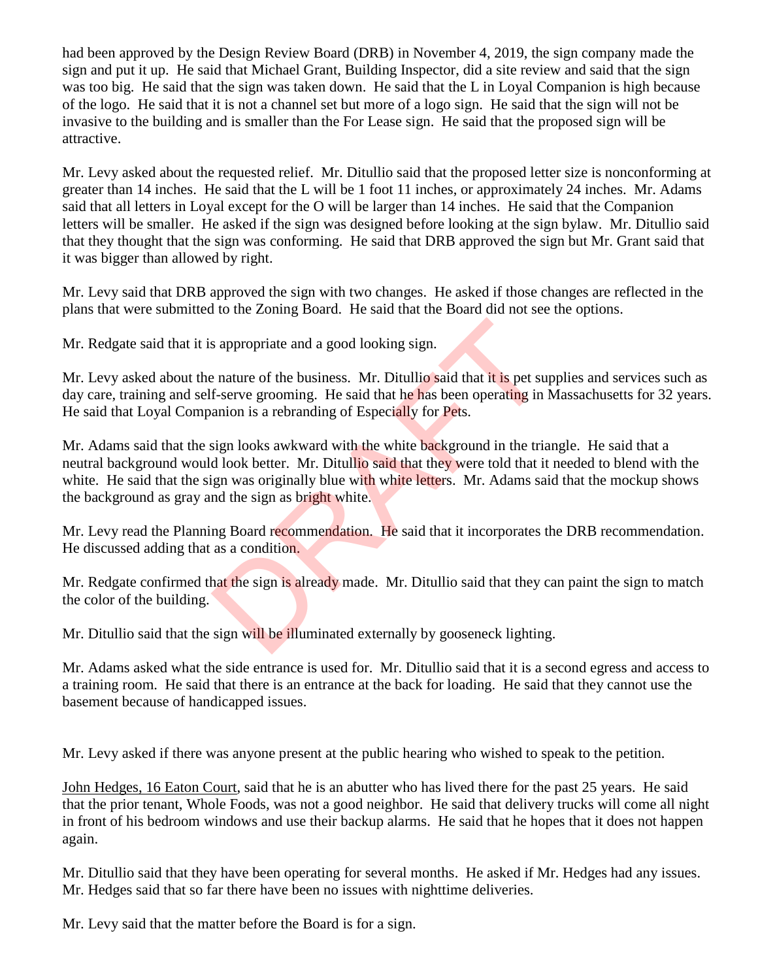had been approved by the Design Review Board (DRB) in November 4, 2019, the sign company made the sign and put it up. He said that Michael Grant, Building Inspector, did a site review and said that the sign was too big. He said that the sign was taken down. He said that the L in Loyal Companion is high because of the logo. He said that it is not a channel set but more of a logo sign. He said that the sign will not be invasive to the building and is smaller than the For Lease sign. He said that the proposed sign will be attractive.

Mr. Levy asked about the requested relief. Mr. Ditullio said that the proposed letter size is nonconforming at greater than 14 inches. He said that the L will be 1 foot 11 inches, or approximately 24 inches. Mr. Adams said that all letters in Loyal except for the O will be larger than 14 inches. He said that the Companion letters will be smaller. He asked if the sign was designed before looking at the sign bylaw. Mr. Ditullio said that they thought that the sign was conforming. He said that DRB approved the sign but Mr. Grant said that it was bigger than allowed by right.

Mr. Levy said that DRB approved the sign with two changes. He asked if those changes are reflected in the plans that were submitted to the Zoning Board. He said that the Board did not see the options.

Mr. Redgate said that it is appropriate and a good looking sign.

Mr. Levy asked about the nature of the business. Mr. Ditullio said that it is pet supplies and services such as day care, training and self-serve grooming. He said that he has been operating in Massachusetts for 32 years. He said that Loyal Companion is a rebranding of Especially for Pets.

Mr. Adams said that the sign looks awkward with the white background in the triangle. He said that a neutral background would look better. Mr. Ditullio said that they were told that it needed to blend with the white. He said that the sign was originally blue with white letters. Mr. Adams said that the mockup shows the background as gray and the sign as bright white. Subsemiest and a good looking sign.<br>
Subsemiest and a good looking sign.<br>
The said that it is pet sue f-serve grooming. He said that he has been operating in<br>
anion is a rebranding of Especially for Pets.<br>
Sign looks awkwa

Mr. Levy read the Planning Board recommendation. He said that it incorporates the DRB recommendation. He discussed adding that as a condition.

Mr. Redgate confirmed that the sign is already made. Mr. Ditullio said that they can paint the sign to match the color of the building.

Mr. Ditullio said that the sign will be illuminated externally by gooseneck lighting.

Mr. Adams asked what the side entrance is used for. Mr. Ditullio said that it is a second egress and access to a training room. He said that there is an entrance at the back for loading. He said that they cannot use the basement because of handicapped issues.

Mr. Levy asked if there was anyone present at the public hearing who wished to speak to the petition.

John Hedges, 16 Eaton Court, said that he is an abutter who has lived there for the past 25 years. He said that the prior tenant, Whole Foods, was not a good neighbor. He said that delivery trucks will come all night in front of his bedroom windows and use their backup alarms. He said that he hopes that it does not happen again.

Mr. Ditullio said that they have been operating for several months. He asked if Mr. Hedges had any issues. Mr. Hedges said that so far there have been no issues with nighttime deliveries.

Mr. Levy said that the matter before the Board is for a sign.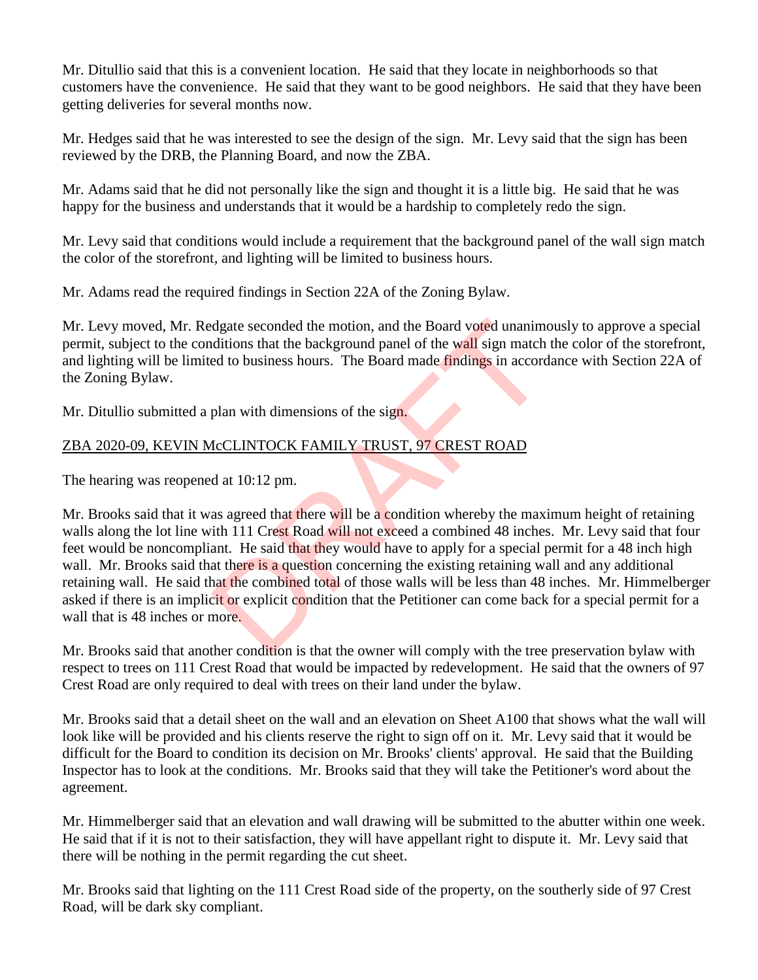Mr. Ditullio said that this is a convenient location. He said that they locate in neighborhoods so that customers have the convenience. He said that they want to be good neighbors. He said that they have been getting deliveries for several months now.

Mr. Hedges said that he was interested to see the design of the sign. Mr. Levy said that the sign has been reviewed by the DRB, the Planning Board, and now the ZBA.

Mr. Adams said that he did not personally like the sign and thought it is a little big. He said that he was happy for the business and understands that it would be a hardship to completely redo the sign.

Mr. Levy said that conditions would include a requirement that the background panel of the wall sign match the color of the storefront, and lighting will be limited to business hours.

Mr. Adams read the required findings in Section 22A of the Zoning Bylaw.

Mr. Levy moved, Mr. Redgate seconded the motion, and the Board voted unanimously to approve a special permit, subject to the conditions that the background panel of the wall sign match the color of the storefront, and lighting will be limited to business hours. The Board made findings in accordance with Section 22A of the Zoning Bylaw.

Mr. Ditullio submitted a plan with dimensions of the sign.

## ZBA 2020-09, KEVIN McCLINTOCK FAMILY TRUST, 97 CREST ROAD

The hearing was reopened at 10:12 pm.

Mr. Brooks said that it was agreed that there will be a condition whereby the maximum height of retaining walls along the lot line with 111 Crest Road will not exceed a combined 48 inches. Mr. Levy said that four feet would be noncompliant. He said that they would have to apply for a special permit for a 48 inch high wall. Mr. Brooks said that there is a question concerning the existing retaining wall and any additional retaining wall. He said that the combined total of those walls will be less than 48 inches. Mr. Himmelberger asked if there is an implicit or explicit condition that the Petitioner can come back for a special permit for a wall that is 48 inches or more. diate seconded the motion, and the Board voted unanimered distant<br>ditions that the background panel of the wall sign match<br>ed to business hours. The Board made findings in accord<br>plan with dimensions of the sign.<br> $\text{McCLINTOCK$ 

Mr. Brooks said that another condition is that the owner will comply with the tree preservation bylaw with respect to trees on 111 Crest Road that would be impacted by redevelopment. He said that the owners of 97 Crest Road are only required to deal with trees on their land under the bylaw.

Mr. Brooks said that a detail sheet on the wall and an elevation on Sheet A100 that shows what the wall will look like will be provided and his clients reserve the right to sign off on it. Mr. Levy said that it would be difficult for the Board to condition its decision on Mr. Brooks' clients' approval. He said that the Building Inspector has to look at the conditions. Mr. Brooks said that they will take the Petitioner's word about the agreement.

Mr. Himmelberger said that an elevation and wall drawing will be submitted to the abutter within one week. He said that if it is not to their satisfaction, they will have appellant right to dispute it. Mr. Levy said that there will be nothing in the permit regarding the cut sheet.

Mr. Brooks said that lighting on the 111 Crest Road side of the property, on the southerly side of 97 Crest Road, will be dark sky compliant.